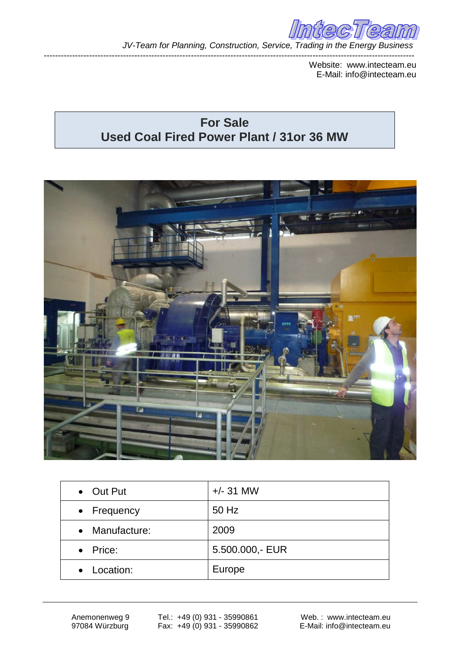

*JV-Team for Planning, Construction, Service, Trading in the Energy Business*

Website: www.intecteam.eu E-Mail: info@intecteam.eu

## **For Sale Used Coal Fired Power Plant / 31or 36 MW**

-----------------------------------------------------------------------------------------------------------------------------------



| • Out Put      | $+/- 31$ MW     |
|----------------|-----------------|
| • Frequency    | 50 Hz           |
| • Manufacture: | 2009            |
| • Price:       | 5.500.000,- EUR |
| • Location:    | Europe          |

Anemonenweg 9 97084 Würzburg

Tel.: +49 (0) 931 - 35990861 Fax: +49 (0) 931 - 35990862

Web. : www.intecteam.eu E-Mail: info@intecteam.eu